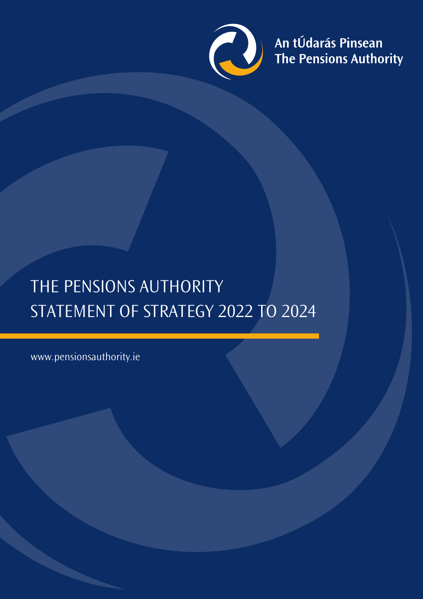

An tÚdarás Pinsean<br>The Pensions Authority

# THE PENSIONS AUTHORITY STATEMENT OF STRATEGY 2022 TO 2024

www.pensionsauthority.ie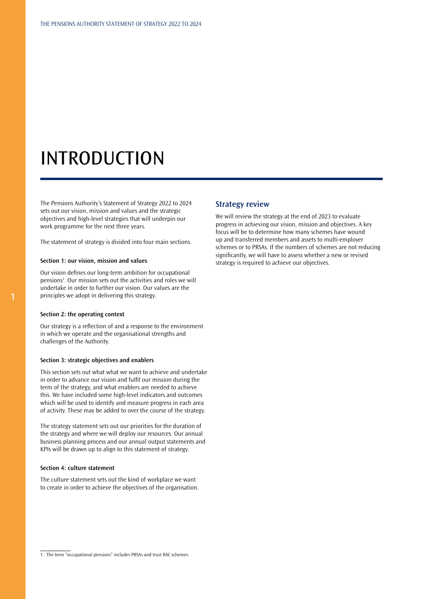## INTRODUCTION

The Pensions Authority's Statement of Strategy 2022 to 2024 sets out our vision, mission and values and the strategic objectives and high-level strategies that will underpin our work programme for the next three years.

The statement of strategy is divided into four main sections.

#### **Section 1: our vision, mission and values**

Our vision defines our long-term ambition for occupational pensions<sup>1</sup>. Our mission sets out the activities and roles we will undertake in order to further our vision. Our values are the principles we adopt in delivering this strategy.

#### **Section 2: the operating context**

Our strategy is a reflection of and a response to the environment in which we operate and the organisational strengths and challenges of the Authority.

#### **Section 3: strategic objectives and enablers**

This section sets out what what we want to achieve and undertake in order to advance our vision and fulfil our mission during the term of the strategy, and what enablers are needed to achieve this. We have included some high-level indicators and outcomes which will be used to identify and measure progress in each area of activity. These may be added to over the course of the strategy.

The strategy statement sets out our priorities for the duration of the strategy and where we will deploy our resources. Our annual business planning process and our annual output statements and KPIs will be drawn up to align to this statement of strategy.

#### **Section 4: culture statement**

The culture statement sets out the kind of workplace we want to create in order to achieve the objectives of the organisation.

#### **Strategy review**

We will review the strategy at the end of 2023 to evaluate progress in achieving our vision, mission and objectives. A key focus will be to determine how many schemes have wound up and transferred members and assets to multi-employer schemes or to PRSAs. If the numbers of schemes are not reducing significantly, we will have to assess whether a new or revised strategy is required to achieve our objectives.

<sup>1</sup> The term "occupational pensions" includes PRSAs and trust RAC schemes.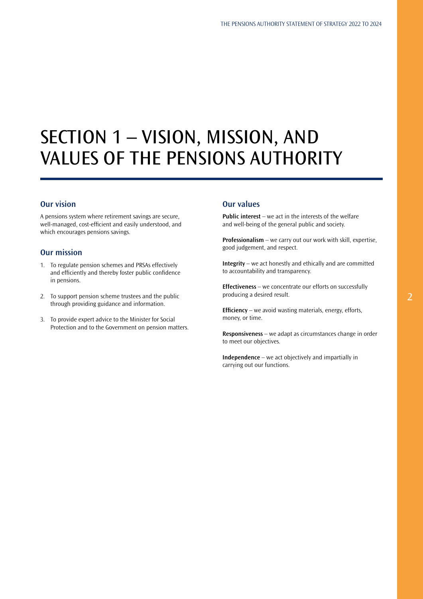## SECTION 1 – VISION, MISSION, AND VALUES OF THE PENSIONS AUTHORITY

### **Our vision**

A pensions system where retirement savings are secure, well-managed, cost-efficient and easily understood, and which encourages pensions savings.

## **Our mission**

- 1. To regulate pension schemes and PRSAs effectively and efficiently and thereby foster public confidence in pensions.
- 2. To support pension scheme trustees and the public through providing guidance and information.
- 3. To provide expert advice to the Minister for Social Protection and to the Government on pension matters.

### **Our values**

**Public interest** – we act in the interests of the welfare and well-being of the general public and society.

**Professionalism** – we carry out our work with skill, expertise, good judgement, and respect.

**Integrity** – we act honestly and ethically and are committed to accountability and transparency.

**Effectiveness** – we concentrate our efforts on successfully producing a desired result.

**Efficiency** – we avoid wasting materials, energy, efforts, money, or time.

**Responsiveness** – we adapt as circumstances change in order to meet our objectives.

**Independence** – we act objectively and impartially in carrying out our functions.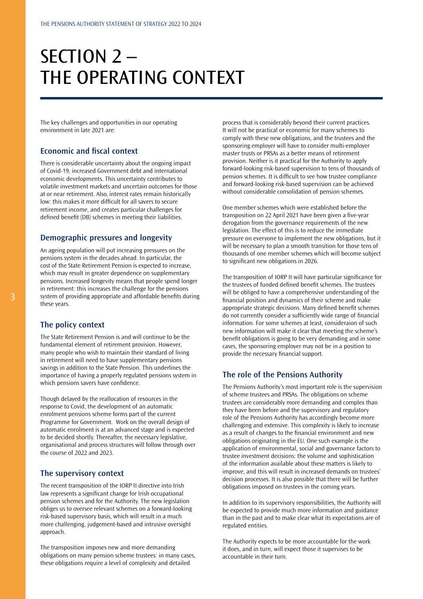# SECTION 2 – THE OPERATING CONTEXT

The key challenges and opportunities in our operating environment in late 2021 are:

#### **Economic and fiscal context**

There is considerable uncertainty about the ongoing impact of Covid-19, increased Government debt and international economic developments. This uncertainty contributes to volatile investment markets and uncertain outcomes for those at or near retirement. Also, interest rates remain historically low: this makes it more difficult for all savers to secure retirement income, and creates particular challenges for defined benefit (DB) schemes in meeting their liabilities.

#### **Demographic pressures and longevity**

An ageing population will put increasing pressures on the pensions system in the decades ahead. In particular, the cost of the State Retirement Pension is expected to increase, which may result in greater dependence on supplementary pensions. Increased longevity means that people spend longer in retirement: this increases the challenge for the pensions system of providing appropriate and affordable benefits during these years.

#### **The policy context**

The State Retirement Pension is and will continue to be the fundamental element of retirement provision. However, many people who wish to maintain their standard of living in retirement will need to have supplementary pensions savings in addition to the State Pension. This underlines the importance of having a properly regulated pensions system in which pensions savers have confidence.

Though delayed by the reallocation of resources in the response to Covid, the development of an automatic enrolment pensions scheme forms part of the current Programme for Government. Work on the overall design of automatic enrolment is at an advanced stage and is expected to be decided shortly. Thereafter, the necessary legislative, organisational and process structures will follow through over the course of 2022 and 2023.

## **The supervisory context**

The recent transposition of the IORP II directive into Irish law represents a significant change for Irish occupational pension schemes and for the Authority. The new legislation obliges us to oversee relevant schemes on a forward-looking risk-based supervisory basis, which will result in a much more challenging, judgement-based and intrusive oversight approach.

The transposition imposes new and more demanding obligations on many pension scheme trustees: in many cases, these obligations require a level of complexity and detailed

process that is considerably beyond their current practices. It will not be practical or economic for many schemes to comply with these new obligations, and the trustees and the sponsoring employer will have to consider multi-employer master trusts or PRSAs as a better means of retirement provision. Neither is it practical for the Authority to apply forward-looking risk-based supervision to tens of thousands of pension schemes. It is difficult to see how trustee compliance and forward-looking risk-based supervision can be achieved without considerable consolidation of pension schemes.

One member schemes which were established before the transposition on 22 April 2021 have been given a five-year derogation from the governance requirements of the new legislation. The effect of this is to reduce the immediate pressure on everyone to implement the new obligations, but it will be necessary to plan a smooth transition for those tens of thousands of one member schemes which will become subject to significant new obligations in 2026.

The transposition of IORP II will have particular significance for the trustees of funded defined benefit schemes. The trustees will be obliged to have a comprehensive understanding of the financial position and dynamics of their scheme and make appropriate strategic decisions. Many defined benefit schemes do not currently consider a sufficiently wide range of financial information. For some schemes at least, consideraion of such new information will make it clear that meeting the scheme's benefit obligations is going to be very demanding and in some cases, the sponsoring employer may not be in a position to provide the necessary financial support.

#### **The role of the Pensions Authority**

The Pensions Authority's most important role is the supervision of scheme trustees and PRSAs. The obligations on scheme trustees are considerably more demanding and complex than they have been before and the supervisory and regulatory role of the Pensions Authority has accordingly become more challenging and extensive. This complexity is likely to increase as a result of changes to the financial environment and new obligations originating in the EU. One such example is the application of environmental, social and governance factors to trustee investment decisions: the volume and sophistication of the information available about these matters is likely to improve, and this will result in increased demands on trustees' decision processes. It is also possible that there will be further obligations imposed on trustees in the coming years.

In addition to its supervisory responsibilities, the Authority will be expected to provide much more information and guidance than in the past and to make clear what its expectations are of regulated entities.

The Authority expects to be more accountable for the work it does, and in turn, will expect those it supervises to be accountable in their turn.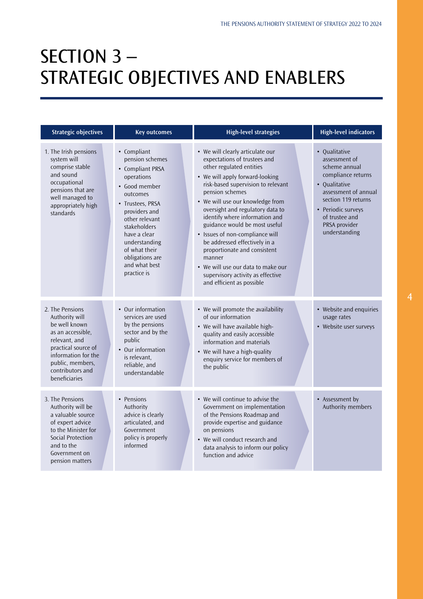## SECTION 3 – STRATEGIC OBJECTIVES AND ENABLERS

| <b>Strategic objectives</b>                                                                                                                                                                     | <b>Key outcomes</b>                                                                                                                                                                                                                                                       | <b>High-level strategies</b>                                                                                                                                                                                                                                                                                                                                                                                                                                                                                                                              | <b>High-level indicators</b>                                                                                                                                                                                    |
|-------------------------------------------------------------------------------------------------------------------------------------------------------------------------------------------------|---------------------------------------------------------------------------------------------------------------------------------------------------------------------------------------------------------------------------------------------------------------------------|-----------------------------------------------------------------------------------------------------------------------------------------------------------------------------------------------------------------------------------------------------------------------------------------------------------------------------------------------------------------------------------------------------------------------------------------------------------------------------------------------------------------------------------------------------------|-----------------------------------------------------------------------------------------------------------------------------------------------------------------------------------------------------------------|
| 1. The Irish pensions<br>system will<br>comprise stable<br>and sound<br>occupational<br>pensions that are<br>well managed to<br>appropriately high<br>standards                                 | • Compliant<br>pension schemes<br>• Compliant PRSA<br>operations<br>• Good member<br>outcomes<br>• Trustees, PRSA<br>providers and<br>other relevant<br>stakeholders<br>have a clear<br>understanding<br>of what their<br>obligations are<br>and what best<br>practice is | • We will clearly articulate our<br>expectations of trustees and<br>other regulated entities<br>• We will apply forward-looking<br>risk-based supervision to relevant<br>pension schemes<br>• We will use our knowledge from<br>oversight and regulatory data to<br>identify where information and<br>guidance would be most useful<br>• Issues of non-compliance will<br>be addressed effectively in a<br>proportionate and consistent<br>manner<br>• We will use our data to make our<br>supervisory activity as effective<br>and efficient as possible | • Qualitative<br>assessment of<br>scheme annual<br>compliance returns<br>• Qualitative<br>assessment of annual<br>section 119 returns<br>• Periodic surveys<br>of trustee and<br>PRSA provider<br>understanding |
| 2. The Pensions<br>Authority will<br>be well known<br>as an accessible,<br>relevant, and<br>practical source of<br>information for the<br>public, members,<br>contributors and<br>beneficiaries | • Our information<br>services are used<br>by the pensions<br>sector and by the<br>public<br>• Our information<br>is relevant,<br>reliable, and<br>understandable                                                                                                          | • We will promote the availability<br>of our information<br>• We will have available high-<br>quality and easily accessible<br>information and materials<br>• We will have a high-quality<br>enquiry service for members of<br>the public                                                                                                                                                                                                                                                                                                                 | • Website and enquiries<br>usage rates<br>• Website user surveys                                                                                                                                                |
| 3. The Pensions<br>Authority will be<br>a valuable source<br>of expert advice<br>to the Minister for<br>Social Protection<br>and to the<br>Government on<br>pension matters                     | • Pensions<br>Authority<br>advice is clearly<br>articulated, and<br>Government<br>policy is properly<br>informed                                                                                                                                                          | • We will continue to advise the<br>Government on implementation<br>of the Pensions Roadmap and<br>provide expertise and guidance<br>on pensions<br>• We will conduct research and<br>data analysis to inform our policy<br>function and advice                                                                                                                                                                                                                                                                                                           | • Assessment by<br>Authority members                                                                                                                                                                            |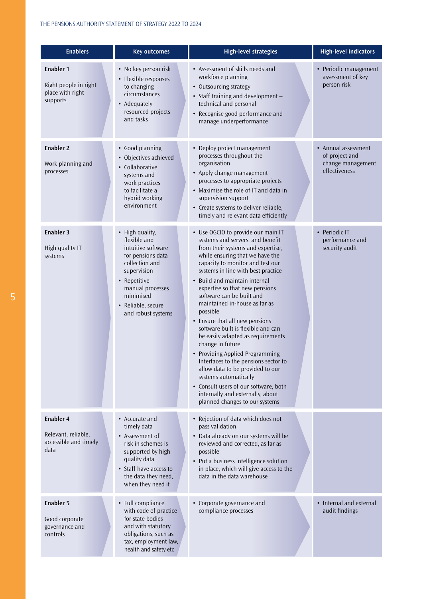| <b>Enablers</b>                                                          | <b>Key outcomes</b>                                                                                                                                                                                      | <b>High-level strategies</b>                                                                                                                                                                                                                                                                                                                                                                                                                                                                                                                                                                                                                                                                                                                                  | <b>High-level indicators</b>                                                |
|--------------------------------------------------------------------------|----------------------------------------------------------------------------------------------------------------------------------------------------------------------------------------------------------|---------------------------------------------------------------------------------------------------------------------------------------------------------------------------------------------------------------------------------------------------------------------------------------------------------------------------------------------------------------------------------------------------------------------------------------------------------------------------------------------------------------------------------------------------------------------------------------------------------------------------------------------------------------------------------------------------------------------------------------------------------------|-----------------------------------------------------------------------------|
| Enabler 1<br>Right people in right<br>place with right<br>supports       | • No key person risk<br>• Flexible responses<br>to changing<br>circumstances<br>• Adequately<br>resourced projects<br>and tasks                                                                          | • Assessment of skills needs and<br>workforce planning<br>• Outsourcing strategy<br>• Staff training and development-<br>technical and personal<br>• Recognise good performance and<br>manage underperformance                                                                                                                                                                                                                                                                                                                                                                                                                                                                                                                                                | • Periodic management<br>assessment of key<br>person risk                   |
| <b>Enabler 2</b><br>Work planning and<br>processes                       | • Good planning<br>• Objectives achieved<br>• Collaborative<br>systems and<br>work practices<br>to facilitate a<br>hybrid working<br>environment                                                         | • Deploy project management<br>processes throughout the<br>organisation<br>• Apply change management<br>processes to appropriate projects<br>• Maximise the role of IT and data in<br>supervision support<br>• Create systems to deliver reliable,<br>timely and relevant data efficiently                                                                                                                                                                                                                                                                                                                                                                                                                                                                    | • Annual assessment<br>of project and<br>change management<br>effectiveness |
| Enabler 3<br>High quality IT<br>systems                                  | • High quality,<br>flexible and<br>intuitive software<br>for pensions data<br>collection and<br>supervision<br>• Repetitive<br>manual processes<br>minimised<br>• Reliable, secure<br>and robust systems | • Use OGCIO to provide our main IT<br>systems and servers, and benefit<br>from their systems and expertise,<br>while ensuring that we have the<br>capacity to monitor and test our<br>systems in line with best practice<br>• Build and maintain internal<br>expertise so that new pensions<br>software can be built and<br>maintained in-house as far as<br>possible<br>• Ensure that all new pensions<br>software built is flexible and can<br>be easily adapted as requirements<br>change in future<br>• Providing Applied Programming<br>Interfaces to the pensions sector to<br>allow data to be provided to our<br>systems automatically<br>• Consult users of our software, both<br>internally and externally, about<br>planned changes to our systems | • Periodic IT<br>performance and<br>security audit                          |
| <b>Enabler 4</b><br>Relevant, reliable,<br>accessible and timely<br>data | • Accurate and<br>timely data<br>• Assessment of<br>risk in schemes is<br>supported by high<br>quality data<br>• Staff have access to<br>the data they need,<br>when they need it                        | • Rejection of data which does not<br>pass validation<br>• Data already on our systems will be<br>reviewed and corrected, as far as<br>possible<br>• Put a business intelligence solution<br>in place, which will give access to the<br>data in the data warehouse                                                                                                                                                                                                                                                                                                                                                                                                                                                                                            |                                                                             |
| <b>Enabler 5</b><br>Good corporate<br>governance and<br>controls         | • Full compliance<br>with code of practice<br>for state bodies<br>and with statutory<br>obligations, such as<br>tax, employment law,<br>health and safety etc                                            | • Corporate governance and<br>compliance processes                                                                                                                                                                                                                                                                                                                                                                                                                                                                                                                                                                                                                                                                                                            | • Internal and external<br>audit findings                                   |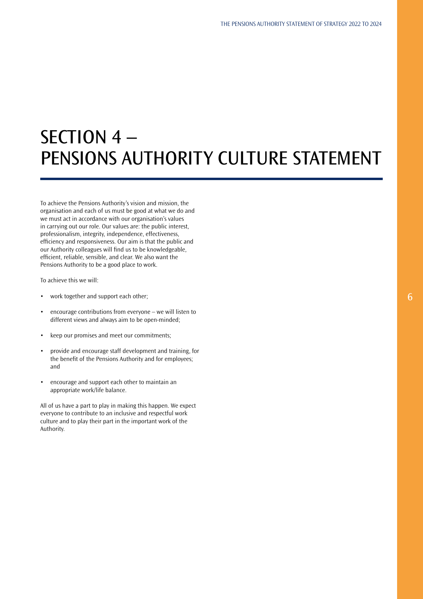# SECTION 4 – PENSIONS AUTHORITY CULTURE STATEMENT

To achieve the Pensions Authority's vision and mission, the organisation and each of us must be good at what we do and we must act in accordance with our organisation's values in carrying out our role. Our values are: the public interest, professionalism, integrity, independence, effectiveness, efficiency and responsiveness. Our aim is that the public and our Authority colleagues will find us to be knowledgeable, efficient, reliable, sensible, and clear. We also want the Pensions Authority to be a good place to work.

To achieve this we will:

- work together and support each other;
- encourage contributions from everyone we will listen to different views and always aim to be open-minded;
- keep our promises and meet our commitments;
- provide and encourage staff development and training, for the benefit of the Pensions Authority and for employees; and
- encourage and support each other to maintain an appropriate work/life balance.

All of us have a part to play in making this happen. We expect everyone to contribute to an inclusive and respectful work culture and to play their part in the important work of the Authority.